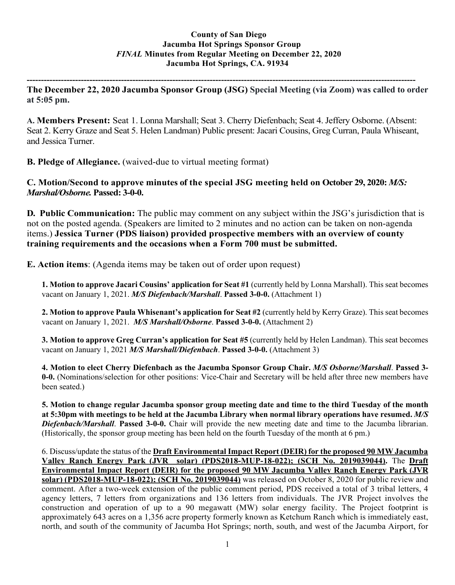## **County of San Diego Jacumba Hot Springs Sponsor Group** *FINAL* **Minutes from Regular Meeting on December 22, 2020 Jacumba Hot Springs, CA. 91934**

**---------------------------------------------------------------------------------------------------------------------------------------- The December 22, 2020 Jacumba Sponsor Group (JSG) Special Meeting (via Zoom) was called to order at 5:05 pm.**

**A. Members Present:** Seat 1. Lonna Marshall; Seat 3. Cherry Diefenbach; Seat 4. Jeffery Osborne. (Absent: Seat 2. Kerry Graze and Seat 5. Helen Landman) Public present: Jacari Cousins, Greg Curran, Paula Whiseant, and Jessica Turner.

**B. Pledge of Allegiance.** (waived-due to virtual meeting format)

**C. Motion/Second to approve minutes of the special JSG meeting held on October 29, 2020:** *M/S: Marshal/Osborne.* **Passed: 3-0-0.**

**D. Public Communication:** The public may comment on any subject within the JSG's jurisdiction that is not on the posted agenda. (Speakers are limited to 2 minutes and no action can be taken on non-agenda items.) **Jessica Turner (PDS liaison) provided prospective members with an overview of county training requirements and the occasions when a Form 700 must be submitted.**

**E. Action items**: (Agenda items may be taken out of order upon request)

**1. Motion to approve Jacari Cousins' application for Seat #1** (currently held by Lonna Marshall). This seat becomes vacant on January 1, 2021. *M/S Diefenbach/Marshall*. **Passed 3-0-0.** (Attachment 1)

**2. Motion to approve Paula Whisenant's application for Seat #2** (currently held by Kerry Graze). This seat becomes vacant on January 1, 2021. *M/S Marshall/Osborne*. **Passed 3-0-0.** (Attachment 2)

**3. Motion to approve Greg Curran's application for Seat #5** (currently held by Helen Landman). This seat becomes vacant on January 1, 2021 *M/S Marshall/Diefenbach*. **Passed 3-0-0.** (Attachment 3)

**4. Motion to elect Cherry Diefenbach as the Jacumba Sponsor Group Chair.** *M/S Osborne/Marshall*. **Passed 3- 0-0.** (Nominations/selection for other positions: Vice-Chair and Secretary will be held after three new members have been seated.)

**5. Motion to change regular Jacumba sponsor group meeting date and time to the third Tuesday of the month at 5:30pm with meetings to be held at the Jacumba Library when normal library operations have resumed.** *M/S Diefenbach/Marshall*. **Passed 3-0-0.** Chair will provide the new meeting date and time to the Jacumba librarian. (Historically, the sponsor group meeting has been held on the fourth Tuesday of the month at 6 pm.)

6. Discuss/update the status of the **Draft Environmental Impact Report (DEIR) for the proposed 90 MWJacumba Valley Ranch Energy Park (JVR solar) (PDS2018-MUP-18-022); (SCH No. 2019039044).** The **Draft Environmental Impact Report (DEIR) for the proposed 90 MW Jacumba Valley Ranch Energy Park (JVR solar) (PDS2018-MUP-18-022); (SCH No. 2019039044)** was released on October 8, 2020 for public review and comment. After a two-week extension of the public comment period, PDS received a total of 3 tribal letters, 4 agency letters, 7 letters from organizations and 136 letters from individuals. The JVR Project involves the construction and operation of up to a 90 megawatt (MW) solar energy facility. The Project footprint is approximately 643 acres on a 1,356 acre property formerly known as Ketchum Ranch which is immediately east, north, and south of the community of Jacumba Hot Springs; north, south, and west of the Jacumba Airport, for